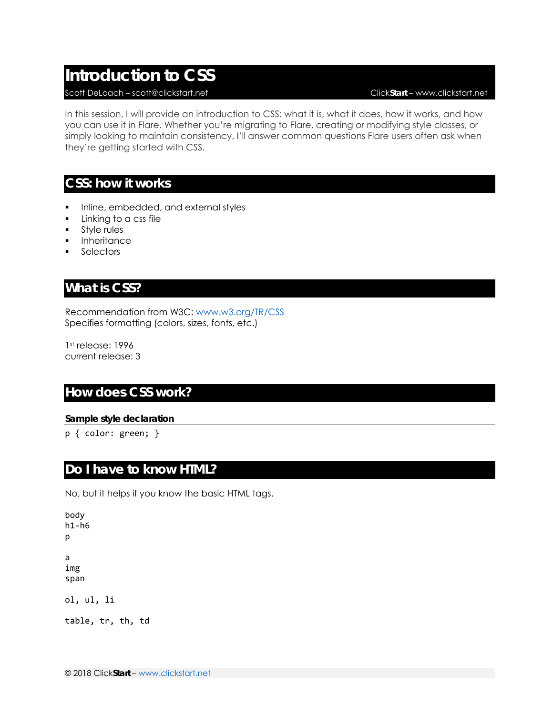# **Introduction to CSS**

#### Scott DeLoach – scott@clickstart.net Click**Start** – www.clickstart.net

In this session, I will provide an introduction to CSS: what it is, what it does, how it works, and how you can use it in Flare. Whether you're migrating to Flare, creating or modifying style classes, or simply looking to maintain consistency, I'll answer common questions Flare users often ask when they're getting started with CSS.

#### **CSS: how it works**

- Inline, embedded, and external styles
- **Linking to a css file**
- **Style rules**
- Inheritance
- **Selectors**

## **What is CSS?**

Recommendation from W3C: www.w3.org/TR/CSS Specifies formatting (colors, sizes, fonts, etc.)

1st release: 1996 current release: 3

#### **How does CSS work?**

#### **Sample style declaration**

p { color: green; }

#### **Do I have to know HTML?**

No, but it helps if you know the basic HTML tags.

```
body
h1‐h6
p
a
img
span
ol, ul, li
table, tr, th, td
```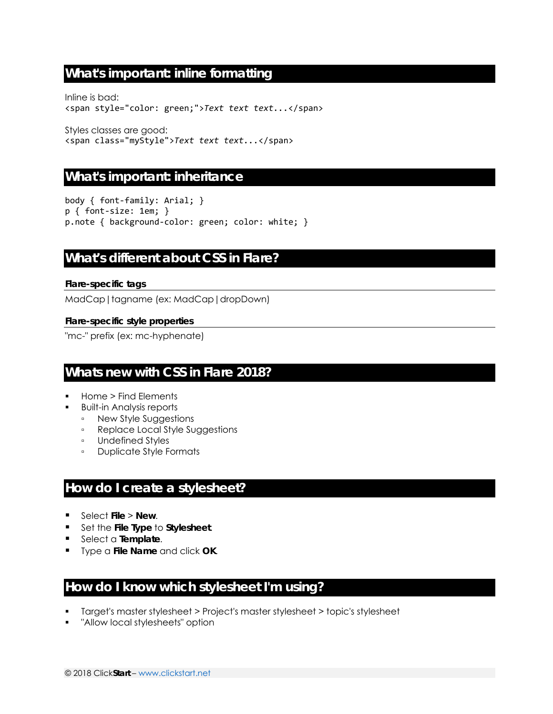## **What's important: inline formatting**

Inline is bad: <span style="color: green;">*Text text text...*</span>

Styles classes are good: <span class="myStyle">*Text text text...*</span>

#### **What's important: inheritance**

body { font‐family: Arial; } p { font‐size: 1em; } p.note { background-color: green; color: white; }

#### **What's different about CSS in Flare?**

#### **Flare-specific tags**

MadCap|tagname (ex: MadCap|dropDown)

#### **Flare-specific style properties**

"mc-" prefix (ex: mc-hyphenate)

#### **Whats new with CSS in Flare 2018?**

- Home > Find Elements
- Built-in Analysis reports
	- New Style Suggestions
	- Replace Local Style Suggestions
	- Undefined Styles
	- Duplicate Style Formats

#### **How do I create a stylesheet?**

- Select **File** > **New**.
- Set the **File Type** to **Stylesheet**.
- **Select a Template.**
- Type a **File Name** and click **OK**.

## **How do I know which stylesheet I'm using?**

- Target's master stylesheet > Project's master stylesheet > topic's stylesheet
- "Allow local stylesheets" option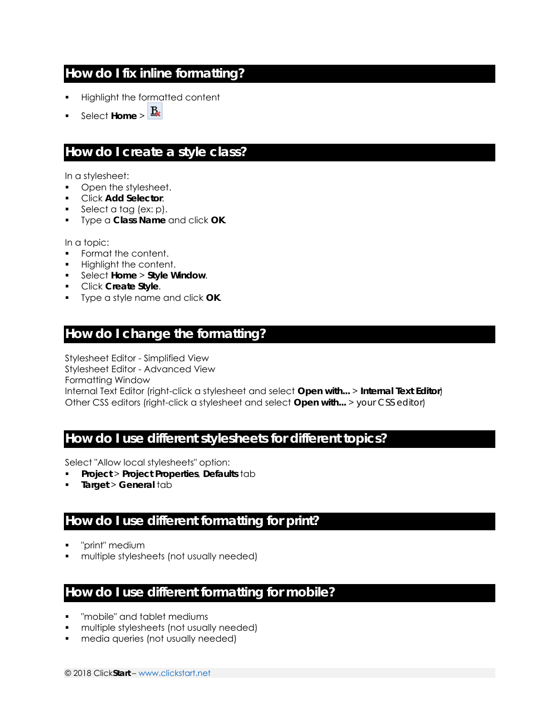## **How do I fix inline formatting?**

- Highlight the formatted content
- Select **Home** >  $\frac{\mathbf{B}_k}{\mathbf{B}_k}$

## **How do I create a style class?**

In a stylesheet:

- Open the stylesheet.
- Click **Add Selector**.
- Select a tag  $(ex: p)$ .
- Type a **Class Name** and click **OK**.

In a topic:

- **Format the content.**
- Highlight the content.
- Select **Home** > **Style Window**.
- Click **Create Style**.
- Type a style name and click **OK**.

## **How do I change the formatting?**

Stylesheet Editor - Simplified View Stylesheet Editor - Advanced View Formatting Window Internal Text Editor (right-click a stylesheet and select **Open with...** > **Internal Text Editor**) Other CSS editors (right-click a stylesheet and select **Open with...** > *your CSS editor*)

## **How do I use different stylesheets for different topics?**

Select "Allow local stylesheets" option:

- **Project** > **Project Properties**, **Defaults** tab
- **Target** > **General** tab

# **How do I use different formatting for print?**

- "print" medium
- multiple stylesheets (not usually needed)

# **How do I use different formatting for mobile?**

- "mobile" and tablet mediums
- multiple stylesheets (not usually needed)
- media queries (not usually needed)